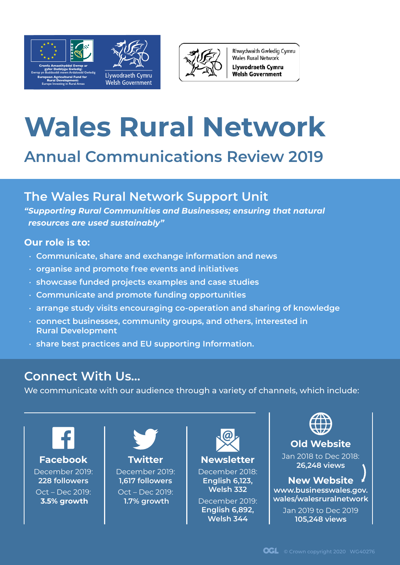

**Rural Development: Europe Investing in Rural Areas** **Welsh Government** 



Rhwydwaith Gwledig Cymru **Wales Rural Network Llywodraeth Cymru Welsh Government** 

# **Wales Rural Network**

# **Annual Communications Review 2019**

# **The Wales Rural Network Support Unit**

*"Supporting Rural Communities and Businesses; ensuring that natural resources are used sustainably"*

# **Our role is to:**

- **Communicate, share and exchange information and news**
- **organise and promote free events and initiatives**
- **showcase funded projects examples and case studies**
- **Communicate and promote funding opportunities**
- **arrange study visits encouraging co-operation and sharing of knowledge**
- **connect businesses, community groups, and others, interested in Rural Development**
- **share best practices and EU supporting Information.**

# **Connect With Us…**

We communicate with our audience through a variety of channels, which include:

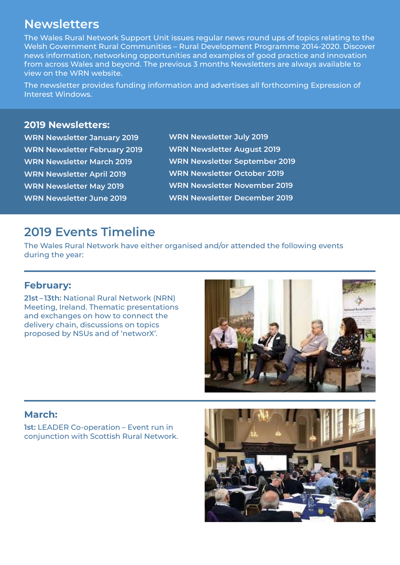# **Newsletters**

The Wales Rural Network Support Unit issues regular news round ups of topics relating to the Welsh Government Rural Communities – Rural Development Programme 2014-2020. Discover news information, networking opportunities and examples of good practice and innovation from across Wales and beyond. The previous 3 months Newsletters are always available to view on the WRN website.

The newsletter provides funding information and advertises all forthcoming Expression of Interest Windows.

### **2019 Newsletters:**

**[WRN Newsletter January 2019](https://content.govdelivery.com/accounts/UKWALES/bulletins/22806bd
) [WRN Newsletter February 2019](https://content.govdelivery.com/accounts/UKWALES/bulletins/22f8eb1
) [WRN Newsletter March 2019](https://content.govdelivery.com/accounts/UKWALES/bulletins/236935a
) [WRN Newsletter April 2019](https://content.govdelivery.com/accounts/UKWALES/bulletins/23d8da5) [WRN Newsletter May 2019](https://content.govdelivery.com/accounts/UKWALES/bulletins/24647d3) [WRN Newsletter June 2019](https://content.govdelivery.com/accounts/UKWALES/bulletins/24bf54b)**

**[WRN Newsletter July 2019](https://content.govdelivery.com/accounts/UKWALES/bulletins/250ff58) [WRN Newsletter August 2019](https://content.govdelivery.com/accounts/UKWALES/bulletins/258021e) [WRN Newsletter September 2019](https://content.govdelivery.com/accounts/UKWALES/bulletins/25e0344)  [WRN Newsletter October 2019](https://content.govdelivery.com/accounts/UKWALES/bulletins/264b97c) [WRN Newsletter November 2019](https://content.govdelivery.com/accounts/UKWALES/bulletins/26956a3) [WRN Newsletter December 2019](https://content.govdelivery.com/accounts/UKWALES/bulletins/26f4b36
)** 

# **2019 Events Timeline**

The Wales Rural Network have either organised and/or attended the following events during the year:

## **February:**

**21st – 13th:** National Rural Network (NRN) Meeting, Ireland. Thematic presentations and exchanges on how to connect the delivery chain, discussions on topics proposed by NSUs and of 'networX'.



## **March:**

**1st:** LEADER Co-operation – Event run in conjunction with Scottish Rural Network.

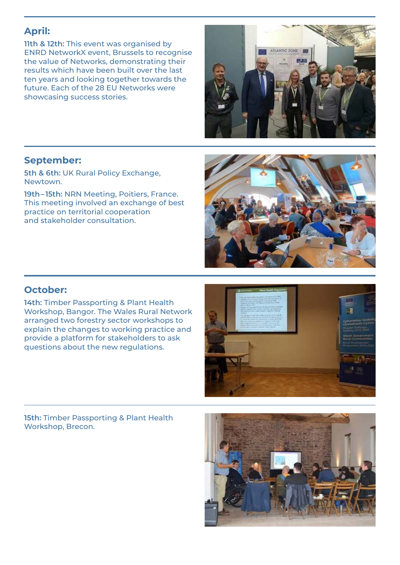# **April:**

**11th & 12th:** This event was organised by ENRD NetworkX event, Brussels to recognise the value of Networks, demonstrating their results which have been built over the last ten years and looking together towards the future. Each of the 28 EU Networks were showcasing success stories.



## **September:**

**5th & 6th:** UK Rural Policy Exchange, Newtown.

**19th– 15th:** NRN Meeting, Poitiers, France. This meeting involved an exchange of best practice on territorial cooperation and stakeholder consultation.



# **October:**

**14th:** Timber Passporting & Plant Health Workshop, Bangor. The Wales Rural Network arranged two forestry sector workshops to explain the changes to working practice and provide a platform for stakeholders to ask questions about the new regulations.

**15th:** Timber Passporting & Plant Health Workshop, Brecon.

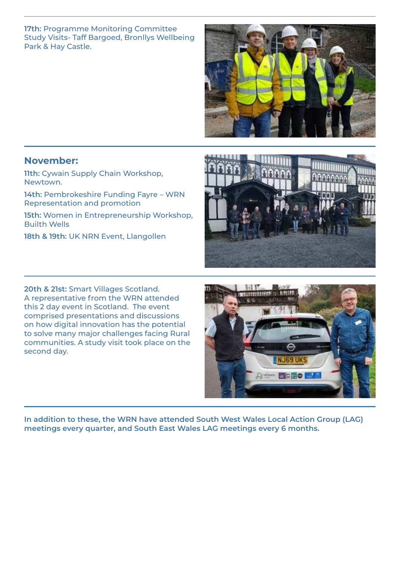#### **17th:** Programme Monitoring Committee Study Visits- Taff Bargoed, Bronllys Wellbeing Park & Hay Castle.



## **November:**

**11th:** Cywain Supply Chain Workshop, Newtown.

**14th:** Pembrokeshire Funding Fayre – WRN Representation and promotion

**15th:** Women in Entrepreneurship Workshop, Builth Wells

**18th & 19th:** UK NRN Event, Llangollen

**20th & 21st:** Smart Villages Scotland. A representative from the WRN attended this 2 day event in Scotland. The event comprised presentations and discussions on how digital innovation has the potential to solve many major challenges facing Rural communities. A study visit took place on the second day.

NJ69 UK Se where **250 25** 

**In addition to these, the WRN have attended South West Wales Local Action Group (LAG) meetings every quarter, and South East Wales LAG meetings every 6 months.**

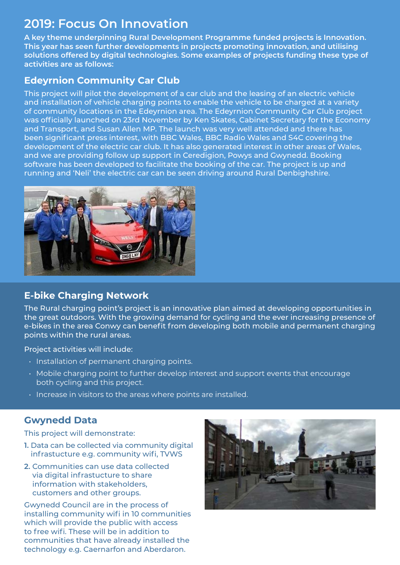# **[2019: Focus On Innovation](https://businesswales.gov.wales/walesruralnetwork/innovation)**

**A key theme underpinning Rural Development Programme funded projects is Innovation. This year has seen further developments in projects promoting innovation, and utilising solutions offered by digital technologies. Some examples of projects funding these type of activities are as follows:**

## **[Edeyrnion Community Car Club](https://businesswales.gov.wales/walesruralnetwork/local-action-groups-and-projects/projects/edeyrnion-community-car-club/
)**

This project will pilot the development of a car club and the leasing of an electric vehicle and installation of vehicle charging points to enable the vehicle to be charged at a variety of community locations in the Edeyrnion area. The Edeyrnion Community Car Club project was officially launched on 23rd November by Ken Skates, Cabinet Secretary for the Economy and Transport, and Susan Allen MP. The launch was very well attended and there has been significant press interest, with BBC Wales, BBC Radio Wales and S4C covering the development of the electric car club. It has also generated interest in other areas of Wales, and we are providing follow up support in Ceredigion, Powys and Gwynedd. Booking software has been developed to facilitate the booking of the car. The project is up and running and 'Neli' the electric car can be seen driving around Rural Denbighshire.



# **[E-bike Charging Network](https://businesswales.gov.wales/walesruralnetwork/local-action-groups-and-projects/projects/e-bike-charging-network)**

The Rural charging point's project is an innovative plan aimed at developing opportunities in the great outdoors. With the growing demand for cycling and the ever increasing presence of e-bikes in the area Conwy can benefit from developing both mobile and permanent charging points within the rural areas.

Project activities will include:

- Installation of permanent charging points.
- Mobile charging point to further develop interest and support events that encourage both cycling and this project.
- Increase in visitors to the areas where points are installed.

# **[Gwynedd Data](https://businesswales.gov.wales/walesruralnetwork/local-action-groups-and-projects/projects/gwynedd-data)**

This project will demonstrate:

- **1.** Data can be collected via community digital infrastucture e.g. community wifi, TVWS
- **2.** Communities can use data collected via digital infrastucture to share information with stakeholders, customers and other groups.

Gwynedd Council are in the process of installing community wifi in 10 communities which will provide the public with access to free wifi. These will be in addition to communities that have already installed the technology e.g. Caernarfon and Aberdaron.